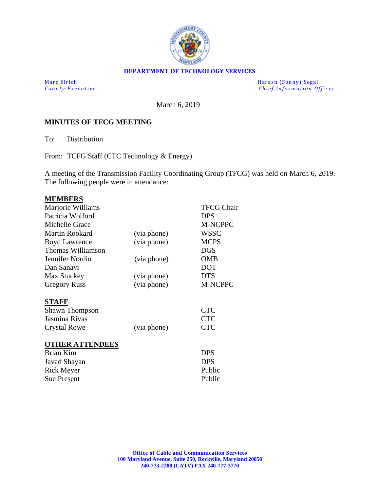

#### **DEPARTMENT OF TECHNOLOGY SERVICES**

Marc Elrich Harash (Sonny) Segal<br>
County Executive Chief Information Of *Chief Information Officer* 

March 6, 2019

### **MINUTES OF TFCG MEETING**

To: Distribution

From: TCFG Staff (CTC Technology & Energy)

A meeting of the Transmission Facility Coordinating Group (TFCG) was held on March 6, 2019. The following people were in attendance:

| <b>MEMBERS</b>         |             |                   |
|------------------------|-------------|-------------------|
| Marjorie Williams      |             | <b>TFCG Chair</b> |
| Patricia Wolford       |             | <b>DPS</b>        |
| Michelle Grace         |             | <b>M-NCPPC</b>    |
| Martin Rookard         | (via phone) | <b>WSSC</b>       |
| <b>Boyd Lawrence</b>   | (via phone) | <b>MCPS</b>       |
| Thomas Williamson      |             | <b>DGS</b>        |
| Jennifer Nordin        | (via phone) | <b>OMB</b>        |
| Dan Sanayi             |             | DOT               |
| Max Stuckey            | (via phone) | <b>DTS</b>        |
| <b>Gregory Russ</b>    | (via phone) | M-NCPPC           |
| STAFF                  |             |                   |
| <b>Shawn Thompson</b>  |             | <b>CTC</b>        |
| Jasmina Rivas          |             | <b>CTC</b>        |
| Crystal Rowe           | (via phone) | <b>CTC</b>        |
|                        |             |                   |
| <b>OTHER ATTENDEES</b> |             |                   |
| <b>Brian Kim</b>       |             | <b>DPS</b>        |
| Javad Shayan           |             | <b>DPS</b>        |
| <b>Rick Meyer</b>      |             | Public            |
| <b>Sue Present</b>     |             | Public            |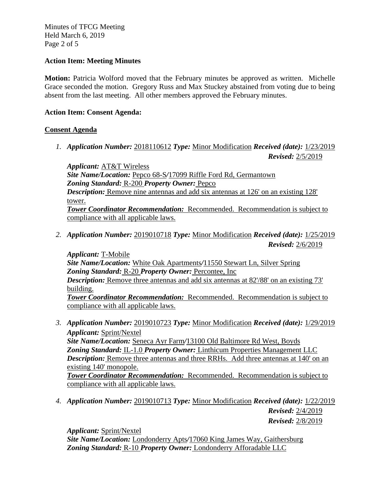Minutes of TFCG Meeting Held March 6, 2019 Page 2 of 5

### **Action Item: Meeting Minutes**

**Motion:** Patricia Wolford moved that the February minutes be approved as written. Michelle Grace seconded the motion. Gregory Russ and Max Stuckey abstained from voting due to being absent from the last meeting. All other members approved the February minutes.

### **Action Item: Consent Agenda:**

### **Consent Agenda**

*1. Application Number:* 2018110612 *Type:* Minor Modification *Received (date):* 1/23/2019 *Revised:* 2/5/2019

*Applicant:* AT&T Wireless *Site Name/Location:* Pepco 68-S*/*17099 Riffle Ford Rd, Germantown *Zoning Standard:* R-200 *Property Owner:* Pepco *Description:* Remove nine antennas and add six antennas at 126' on an existing 128' tower. *Tower Coordinator Recommendation:* Recommended. Recommendation is subject to compliance with all applicable laws.

*2. Application Number:* 2019010718 *Type:* Minor Modification *Received (date):* 1/25/2019 *Revised:* 2/6/2019

 *Applicant:* T-Mobile *Site Name/Location:* White Oak Apartments*/*11550 Stewart Ln, Silver Spring *Zoning Standard:* R-20 *Property Owner:* Percontee, Inc *Description:* Remove three antennas and add six antennas at 82'/88' on an existing 73' building. *Tower Coordinator Recommendation:* Recommended. Recommendation is subject to compliance with all applicable laws.

- *3. Application Number:* 2019010723 *Type:* Minor Modification *Received (date):* 1/29/2019 *Applicant:* Sprint/Nextel *Site Name/Location:* Seneca Ayr Farm*/*13100 Old Baltimore Rd West, Boyds *Zoning Standard:* IL-1.0 *Property Owner:* Linthicum Properties Management LLC *Description:* Remove three antennas and three RRHs. Add three antennas at 140' on an existing 140' monopole. *Tower Coordinator Recommendation:* Recommended. Recommendation is subject to compliance with all applicable laws.
- *4. Application Number:* 2019010713 *Type:* Minor Modification *Received (date):* 1/22/2019 *Revised:* 2/4/2019

*Revised:* 2/8/2019

*Applicant:* Sprint/Nextel

*Site Name/Location:* Londonderry Apts*/*17060 King James Way, Gaithersburg *Zoning Standard:* R-10 *Property Owner:* Londonderry Afforadable LLC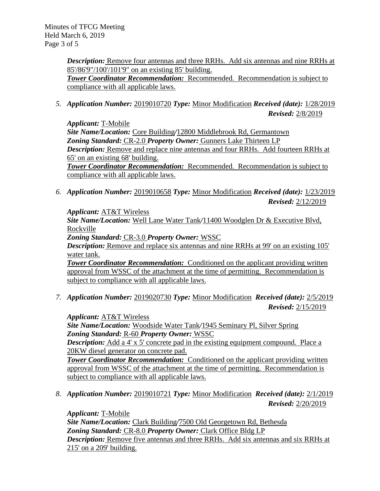Minutes of TFCG Meeting Held March 6, 2019 Page 3 of 5

> *Description:* Remove four antennas and three RRHs. Add six antennas and nine RRHs at 85'/86'9"/100'/101'9" on an existing 85' building. *Tower Coordinator Recommendation:* Recommended. Recommendation is subject to compliance with all applicable laws.

*5. Application Number:* 2019010720 *Type:* Minor Modification *Received (date):* 1/28/2019 *Revised:* 2/8/2019

*Applicant:* T-Mobile *Site Name/Location:* Core Building*/*12800 Middlebrook Rd, Germantown *Zoning Standard:* CR-2.0 *Property Owner:* Gunners Lake Thirteen LP *Description:* Remove and replace nine antennas and four RRHs. Add fourteen RRHs at 65' on an existing 68' building.

*Tower Coordinator Recommendation:* Recommended. Recommendation is subject to compliance with all applicable laws.

*6. Application Number:* 2019010658 *Type:* Minor Modification *Received (date):* 1/23/2019 *Revised:* 2/12/2019

*Applicant:* AT&T Wireless

*Site Name/Location:* Well Lane Water Tank*/*11400 Woodglen Dr & Executive Blvd, Rockville

*Zoning Standard:* CR-3.0 *Property Owner:* WSSC

*Description:* Remove and replace six antennas and nine RRHs at 99' on an existing 105' water tank.

**Tower Coordinator Recommendation:** Conditioned on the applicant providing written approval from WSSC of the attachment at the time of permitting. Recommendation is subject to compliance with all applicable laws.

*7. Application Number:* 2019020730 *Type:* Minor Modification *Received (date):* 2/5/2019 *Revised:* 2/15/2019

*Applicant:* AT&T Wireless

*Site Name/Location:* Woodside Water Tank*/*1945 Seminary Pl, Silver Spring *Zoning Standard:* R-60 *Property Owner:* WSSC

*Description:* Add a 4' x 5' concrete pad in the existing equipment compound. Place a 20KW diesel generator on concrete pad.

**Tower Coordinator Recommendation:** Conditioned on the applicant providing written approval from WSSC of the attachment at the time of permitting. Recommendation is subject to compliance with all applicable laws.

*8. Application Number:* 2019010721 *Type:* Minor Modification *Received (date):* 2/1/2019 *Revised:* 2/20/2019

*Applicant:* T-Mobile

*Site Name/Location:* Clark Building*/*7500 Old Georgetown Rd, Bethesda *Zoning Standard:* CR-8.0 *Property Owner:* Clark Office Bldg LP *Description:* Remove five antennas and three RRHs. Add six antennas and six RRHs at 215' on a 209' building.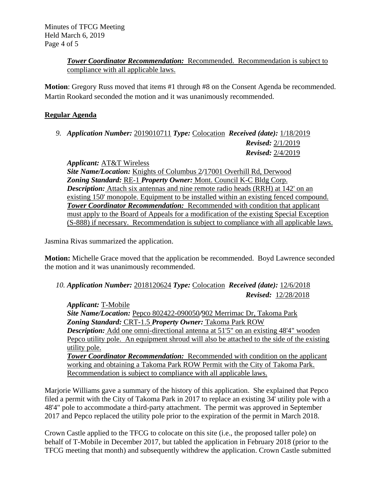# *Tower Coordinator Recommendation:* Recommended. Recommendation is subject to compliance with all applicable laws.

**Motion**: Gregory Russ moved that items #1 through #8 on the Consent Agenda be recommended. Martin Rookard seconded the motion and it was unanimously recommended.

# **Regular Agenda**

*9. Application Number:* 2019010711 *Type:* Colocation *Received (date):* 1/18/2019 *Revised:* 2/1/2019 *Revised:* 2/4/2019

*Applicant:* AT&T Wireless *Site Name/Location:* Knights of Columbus 2*/*17001 Overhill Rd, Derwood *Zoning Standard:* RE-1 *Property Owner:* Mont. Council K-C Bldg Corp. *Description:* Attach six antennas and nine remote radio heads (RRH) at 142' on an existing 150' monopole. Equipment to be installed within an existing fenced compound. *Tower Coordinator Recommendation:* Recommended with condition that applicant must apply to the Board of Appeals for a modification of the existing Special Exception (S-888) if necessary. Recommendation is subject to compliance with all applicable laws.

Jasmina Rivas summarized the application.

**Motion:** Michelle Grace moved that the application be recommended. Boyd Lawrence seconded the motion and it was unanimously recommended.

*10. Application Number:* 2018120624 *Type:* Colocation *Received (date):* 12/6/2018 *Revised:* 12/28/2018

*Applicant:* T-Mobile *Site Name/Location:* Pepco 802422-090050*/*902 Merrimac Dr, Takoma Park *Zoning Standard:* CRT-1.5 *Property Owner:* Takoma Park ROW **Description:** Add one omni-directional antenna at 51'5" on an existing 48'4" wooden Pepco utility pole. An equipment shroud will also be attached to the side of the existing utility pole. *Tower Coordinator Recommendation:* Recommended with condition on the applicant working and obtaining a Takoma Park ROW Permit with the City of Takoma Park. Recommendation is subject to compliance with all applicable laws.

Marjorie Williams gave a summary of the history of this application. She explained that Pepco filed a permit with the City of Takoma Park in 2017 to replace an existing 34' utility pole with a 48'4" pole to accommodate a third-party attachment. The permit was approved in September 2017 and Pepco replaced the utility pole prior to the expiration of the permit in March 2018.

Crown Castle applied to the TFCG to colocate on this site (i.e., the proposed taller pole) on behalf of T-Mobile in December 2017, but tabled the application in February 2018 (prior to the TFCG meeting that month) and subsequently withdrew the application. Crown Castle submitted